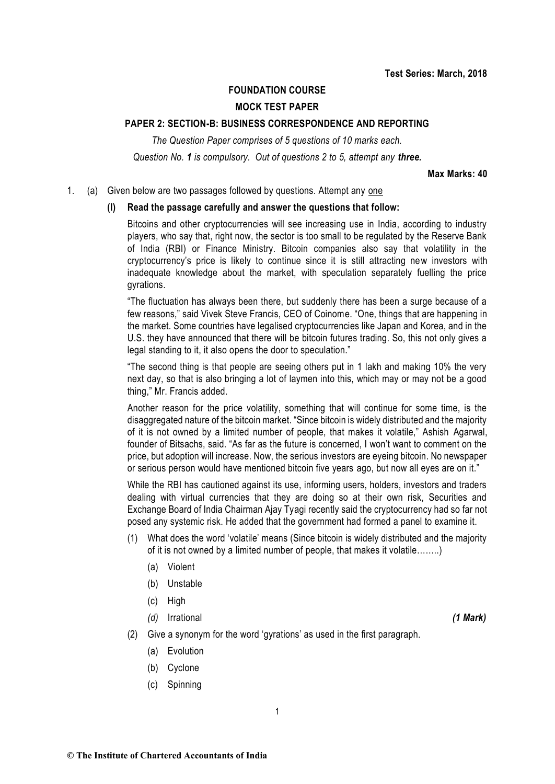#### **FOUNDATION COURSE**

# **MOCK TEST PAPER**

#### **PAPER 2: SECTION-B: BUSINESS CORRESPONDENCE AND REPORTING**

*The Question Paper comprises of 5 questions of 10 marks each. Question No. 1 is compulsory. Out of questions 2 to 5, attempt any three.*

**Max Marks: 40**

#### 1. (a) Given below are two passages followed by questions. Attempt any one

#### **(I) Read the passage carefully and answer the questions that follow:**

Bitcoins and other cryptocurrencies will see increasing use in India, according to industry players, who say that, right now, the sector is too small to be regulated by the Reserve Bank of India (RBI) or Finance Ministry. Bitcoin companies also say that volatility in the cryptocurrency's price is likely to continue since it is still attracting new investors with inadequate knowledge about the market, with speculation separately fuelling the price gyrations.

"The fluctuation has always been there, but suddenly there has been a surge because of a few reasons," said Vivek Steve Francis, CEO of Coinome. "One, things that are happening in the market. Some countries have legalised cryptocurrencies like Japan and Korea, and in the U.S. they have announced that there will be bitcoin futures trading. So, this not only gives a legal standing to it, it also opens the door to speculation."

"The second thing is that people are seeing others put in 1 lakh and making 10% the very next day, so that is also bringing a lot of laymen into this, which may or may not be a good thing," Mr. Francis added.

Another reason for the price volatility, something that will continue for some time, is the disaggregated nature of the bitcoin market. "Since bitcoin is widely distributed and the majority of it is not owned by a limited number of people, that makes it volatile," Ashish Agarwal, founder of Bitsachs, said. "As far as the future is concerned, I won't want to comment on the price, but adoption will increase. Now, the serious investors are eyeing bitcoin. No newspaper or serious person would have mentioned bitcoin five years ago, but now all eyes are on it."

While the RBI has cautioned against its use, informing users, holders, investors and traders dealing with virtual currencies that they are doing so at their own risk, Securities and Exchange Board of India Chairman Ajay Tyagi recently said the cryptocurrency had so far not posed any systemic risk. He added that the government had formed a panel to examine it.

- (1) What does the word 'volatile' means (Since bitcoin is widely distributed and the majority of it is not owned by a limited number of people, that makes it volatile……..)
	- (a) Violent
	- (b) Unstable
	- (c) High
	- *(d)* Irrational *(1 Mark)*

- (2) Give a synonym for the word 'gyrations' as used in the first paragraph.
	- (a) Evolution
	- (b) Cyclone
	- (c) Spinning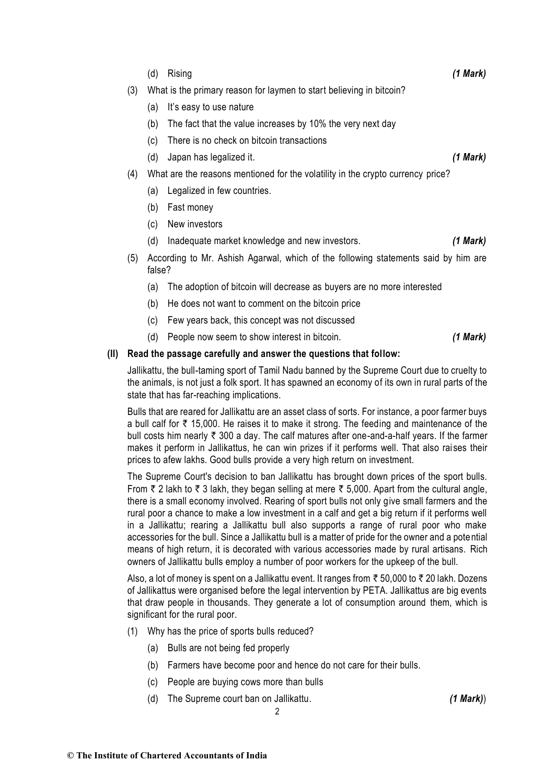- (d) Rising *(1 Mark)*
- (3) What is the primary reason for laymen to start believing in bitcoin?
	- (a) It's easy to use nature
	- (b) The fact that the value increases by 10% the very next day
	- (c) There is no check on bitcoin transactions
	- (d) Japan has legalized it. *(1 Mark)*
- (4) What are the reasons mentioned for the volatility in the crypto currency price?
	- (a) Legalized in few countries.
	- (b) Fast money
	- (c) New investors
	- (d) Inadequate market knowledge and new investors. *(1 Mark)*
- (5) According to Mr. Ashish Agarwal, which of the following statements said by him are false?
	- (a) The adoption of bitcoin will decrease as buyers are no more interested
	- (b) He does not want to comment on the bitcoin price
	- (c) Few years back, this concept was not discussed
	- (d) People now seem to show interest in bitcoin. *(1 Mark)*

# **(II) Read the passage carefully and answer the questions that follow:**

Jallikattu, the bull-taming sport of Tamil Nadu banned by the Supreme Court due to cruelty to the animals, is not just a folk sport. It has spawned an economy of its own in rural parts of the state that has far-reaching implications.

Bulls that are reared for Jallikattu are an asset class of sorts. For instance, a poor farmer buys a bull calf for  $\bar{\tau}$  15,000. He raises it to make it strong. The feeding and maintenance of the bull costs him nearly  $\bar{\tau}$  300 a day. The calf matures after one-and-a-half years. If the farmer makes it perform in Jallikattus, he can win prizes if it performs well. That also raises their prices to afew lakhs. Good bulls provide a very high return on investment.

The Supreme Court's decision to ban Jallikattu has brought down prices of the sport bulls. From  $\bar{\tau}$  2 lakh to  $\bar{\tau}$  3 lakh, they began selling at mere  $\bar{\tau}$  5,000. Apart from the cultural angle, there is a small economy involved. Rearing of sport bulls not only give small farmers and the rural poor a chance to make a low investment in a calf and get a big return if it performs well in a Jallikattu; rearing a Jallikattu bull also supports a range of rural poor who make accessories for the bull. Since a Jallikattu bull is a matter of pride for the owner and a potential means of high return, it is decorated with various accessories made by rural artisans. Rich owners of Jallikattu bulls employ a number of poor workers for the upkeep of the bull.

Also, a lot of money is spent on a Jallikattu event. It ranges from  $\bar{\tau}$  50,000 to  $\bar{\tau}$  20 lakh. Dozens of Jallikattus were organised before the legal intervention by PETA. Jallikattus are big events that draw people in thousands. They generate a lot of consumption around them, which is significant for the rural poor.

- (1) Why has the price of sports bulls reduced?
	- (a) Bulls are not being fed properly
	- (b) Farmers have become poor and hence do not care for their bulls.
	- (c) People are buying cows more than bulls
	- (d) The Supreme court ban on Jallikattu. *(1 Mark)*)

2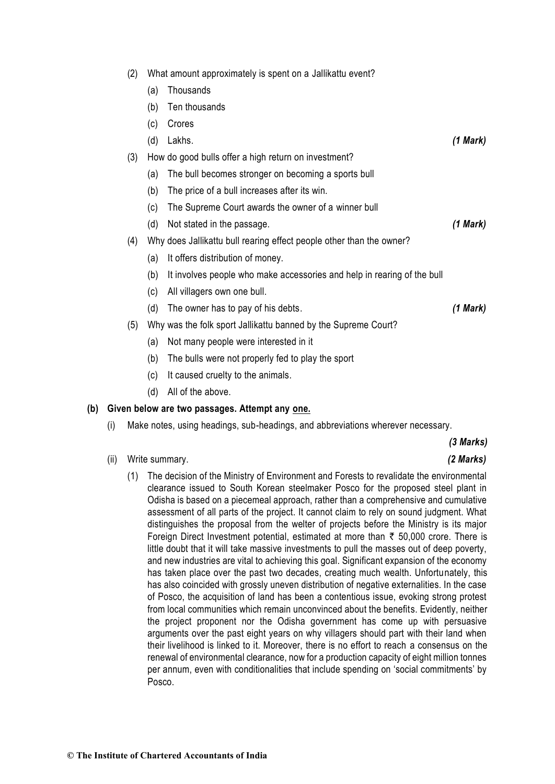| (2) |  | What amount approximately is spent on a Jallikattu event? |
|-----|--|-----------------------------------------------------------|
|     |  |                                                           |

- (a) Thousands
- (b) Ten thousands
- (c) Crores
- (d) Lakhs. *(1 Mark)*
- (3) How do good bulls offer a high return on investment?
	- (a) The bull becomes stronger on becoming a sports bull
	- (b) The price of a bull increases after its win.
	- (c) The Supreme Court awards the owner of a winner bull
	- (d) Not stated in the passage. *(1 Mark)*
- (4) Why does Jallikattu bull rearing effect people other than the owner?
	- (a) It offers distribution of money.
	- (b) It involves people who make accessories and help in rearing of the bull
	- (c) All villagers own one bull.
	- (d) The owner has to pay of his debts. *(1 Mark)*
- (5) Why was the folk sport Jallikattu banned by the Supreme Court?
	- (a) Not many people were interested in it
	- (b) The bulls were not properly fed to play the sport
	- (c) It caused cruelty to the animals.
	- (d) All of the above.

#### **(b) Given below are two passages. Attempt any one.**

(i) Make notes, using headings, sub-headings, and abbreviations wherever necessary.

### *(3 Marks)*

- (ii) Write summary. *(2 Marks)*
	- (1) The decision of the Ministry of Environment and Forests to revalidate the environmental clearance issued to South Korean steelmaker Posco for the proposed steel plant in Odisha is based on a piecemeal approach, rather than a comprehensive and cumulative assessment of all parts of the project. It cannot claim to rely on sound judgment. What distinguishes the proposal from the welter of projects before the Ministry is its major Foreign Direct Investment potential, estimated at more than  $\bar{\tau}$  50,000 crore. There is little doubt that it will take massive investments to pull the masses out of deep poverty, and new industries are vital to achieving this goal. Significant expansion of the economy has taken place over the past two decades, creating much wealth. Unfortunately, this has also coincided with grossly uneven distribution of negative externalities. In the case of Posco, the acquisition of land has been a contentious issue, evoking strong protest from local communities which remain unconvinced about the benefits. Evidently, neither the project proponent nor the Odisha government has come up with persuasive arguments over the past eight years on why villagers should part with their land when their livelihood is linked to it. Moreover, there is no effort to reach a consensus on the renewal of environmental clearance, now for a production capacity of eight million tonnes per annum, even with conditionalities that include spending on 'social commitments' by Posco.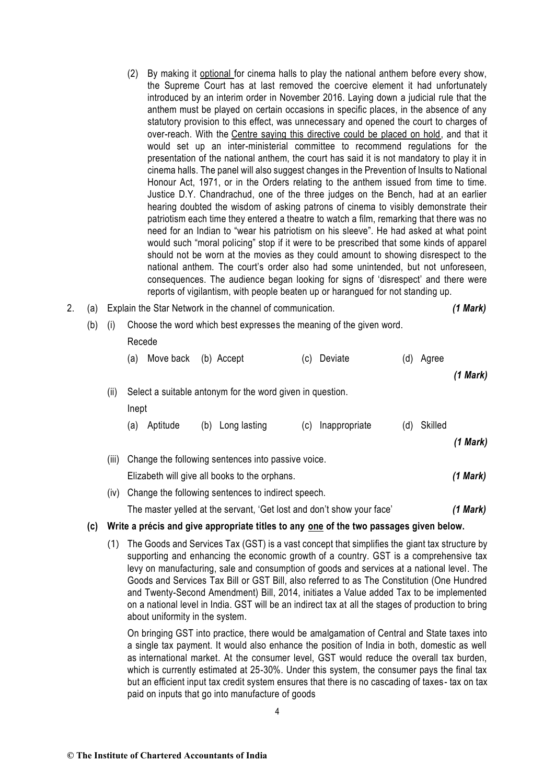- (2) By making it [optional](http://www.thehindu.com/todays-paper/playing-of-national-anthem-in-cinema-halls-made-optional/article22408357.ece) for cinema halls to play the national anthem before every show, the Supreme Court has at last removed the coercive element it had unfortunately introduced by an interim order in November 2016. Laying down a judicial rule that the anthem must be played on certain occasions in specific places, in the absence of any statutory provision to this effect, was unnecessary and opened the court to charges of over-reach. With the [Centre saying this directive could be placed on hold,](http://www.thehindu.com/news/national/take-back-order-on-national-anthem-in-cinema-halls-till-fresh-circular-is-issued-centre-tells-supreme-court/article22398284.ece) and that it would set up an inter-ministerial committee to recommend regulations for the presentation of the national anthem, the court has said it is not mandatory to play it in cinema halls. The panel will also suggest changes in the Prevention of Insults to National Honour Act, 1971, or in the Orders relating to the anthem issued from time to time. Justice D.Y. Chandrachud, one of the three judges on the Bench, had at an earlier hearing doubted the wisdom of asking patrons of cinema to visibly demonstrate their patriotism each time they entered a theatre to watch a film, remarking that there was no need for an Indian to "wear his patriotism on his sleeve". He had asked at what point would such "moral policing" stop if it were to be prescribed that some kinds of apparel should not be worn at the movies as they could amount to showing disrespect to the national anthem. The court's order also had some unintended, but not unforeseen, consequences. The audience began looking for signs of 'disrespect' and there were reports of vigilantism, with people beaten up or harangued for not standing up.
- 2. (a) Explain the Star Network in the channel of communication. *(1 Mark)*
	- (b) (i) Choose the word which best expresses the meaning of the given word.

#### Recede

| (a) Move back (b) Accept | (c) Deviate | (d) Agree |               |
|--------------------------|-------------|-----------|---------------|
|                          |             |           | $(1$ Mark $)$ |

# (ii) Select a suitable antonym for the word given in question. Inept (a) Aptitude (b) Long lasting (c) Inappropriate (d) Skilled *(1 Mark)* (iii) Change the following sentences into passive voice. Elizabeth will give all books to the orphans. *(1 Mark)*

(iv) Change the following sentences to indirect speech.

The master yelled at the servant, 'Get lost and don't show your face' *(1 Mark)*

## **(c) Write a précis and give appropriate titles to any one of the two passages given below.**

(1) The Goods and Services Tax (GST) is a vast concept that simplifies the giant tax structure by supporting and enhancing the [economic growth](https://www.omicsonline.org/open-access/business-and-economics-journal-abstract.php?abstract_id=76605) of a country. GST is a comprehensive tax levy on manufacturing, sale and consumption of goods and services at a national level. The Goods and Services [Tax](https://www.omicsonline.org/open-access/outbound-logistics-performance-and-profitability-taxonomy-ofmanufacturing-and-service-organizations-2151-6219-1000221.php?aid=77106) Bill or GST Bill, also referred to as The Constitution (One Hundred and Twenty-Second Amendment) Bill, 2014, initiates a Value added Tax to be implemented on a national level in India. GST will be an indirect tax at all the stages of production to bring about uniformity in the system.

On bringing GST into practice, there would be [amalgamation](https://www.rroij.com/open-access/the-amalgamation-of-nlp-with-textcategorization.php?aid=56811) of Central and State taxes into a single tax payment. It would also enhance the position of India in both, domestic as well as [international market.](https://www.omicsonline.org/open-access/reputation-as-a-competitive-advantage-in-international-market-entry-in-the-pharmaceutical-2162-6359-1000260.php?aid=54872) At the consumer level, GST would reduce the overall tax burden, which is currently estimated at 25-30%. Under this system, the consumer pays the final tax but an efficient input tax credit system ensures that there is no cascading of taxes- tax on tax paid on inputs that go into manufacture of goods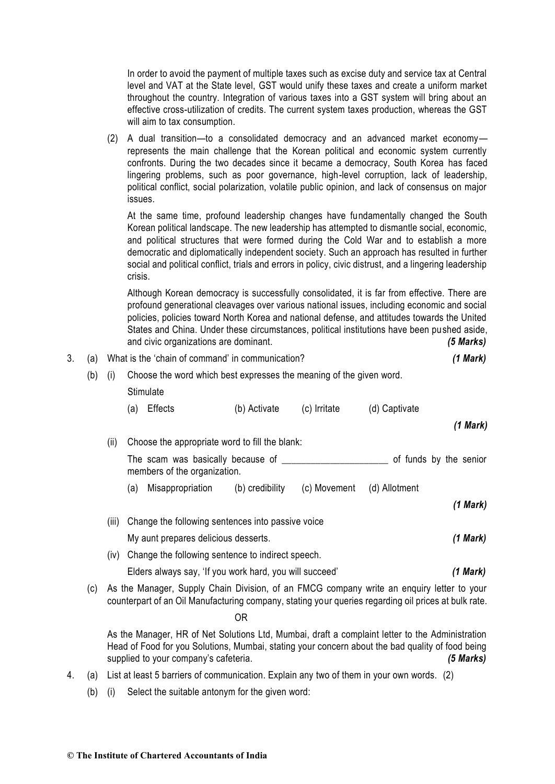In order to avoid the payment of multiple taxes such as excise duty and service tax at Central level and VAT at the State level, GST would unify these taxes and create a uniform market throughout the country. Integration of various taxes into a GST system will bring about an effective cross-utilization of credits. The current system taxes production, whereas the GST will aim to tax consumption.

(2) A dual transition—to a consolidated democracy and an advanced market economy represents the main challenge that the Korean political and economic system currently confronts. During the two decades since it became a democracy, South Korea has faced lingering problems, such as poor governance, high-level corruption, lack of leadership, political conflict, social polarization, volatile public opinion, and lack of consensus on major issues.

At the same time, profound leadership changes have fundamentally changed the South Korean political landscape. The new leadership has attempted to dismantle social, economic, and political structures that were formed during the Cold War and to establish a more democratic and diplomatically independent society. Such an approach has resulted in further social and political conflict, trials and errors in policy, civic distrust, and a lingering leadership crisis.

Although Korean democracy is successfully consolidated, it is far from effective. There are profound generational cleavages over various national issues, including economic and social policies, policies toward North Korea and national defense, and attitudes towards the United States and China. Under these circumstances, political institutions have been pushed aside, and civic organizations are dominant. *(5 Marks)*

| 3. | (a)                                                                                           | What is the 'chain of command' in communication?        |                                                                                  |                                                   |                 |              | (1 Mark)               |          |
|----|-----------------------------------------------------------------------------------------------|---------------------------------------------------------|----------------------------------------------------------------------------------|---------------------------------------------------|-----------------|--------------|------------------------|----------|
|    | (b)                                                                                           | (i)                                                     | Choose the word which best expresses the meaning of the given word.<br>Stimulate |                                                   |                 |              |                        |          |
|    |                                                                                               |                                                         |                                                                                  |                                                   |                 |              |                        |          |
|    |                                                                                               |                                                         | (a)                                                                              | <b>Effects</b>                                    | (b) Activate    | (c) Irritate | (d) Captivate          |          |
|    |                                                                                               |                                                         |                                                                                  |                                                   |                 |              |                        | (1 Mark) |
|    |                                                                                               | (ii)                                                    | Choose the appropriate word to fill the blank:                                   |                                                   |                 |              |                        |          |
|    |                                                                                               |                                                         | The scam was basically because of _______<br>members of the organization.        |                                                   |                 |              | of funds by the senior |          |
|    |                                                                                               |                                                         | (a)                                                                              | Misappropriation                                  | (b) credibility | (c) Movement | (d) Allotment          |          |
|    |                                                                                               |                                                         |                                                                                  |                                                   |                 |              |                        | (1 Mark) |
|    |                                                                                               | (iii)                                                   |                                                                                  | Change the following sentences into passive voice |                 |              |                        |          |
|    |                                                                                               |                                                         | My aunt prepares delicious desserts.                                             |                                                   |                 | (1 Mark)     |                        |          |
|    |                                                                                               | (iv)                                                    |                                                                                  | Change the following sentence to indirect speech. |                 |              |                        |          |
|    |                                                                                               | Elders always say, 'If you work hard, you will succeed' |                                                                                  |                                                   |                 |              |                        | (1 Mark) |
|    | $(c)$ As the Manager Supply Chain Division of an EMCG company write an enguiry letter to your |                                                         |                                                                                  |                                                   |                 |              |                        |          |

(c) As the Manager, Supply Chain Division, of an FMCG company write an enquiry letter to your counterpart of an Oil Manufacturing company, stating your queries regarding oil prices at bulk rate. OR

As the Manager, HR of Net Solutions Ltd, Mumbai, draft a complaint letter to the Administration Head of Food for you Solutions, Mumbai, stating your concern about the bad quality of food being supplied to your company's cafeteria. *(5 Marks)*

- 4. (a) List at least 5 barriers of communication. Explain any two of them in your own words. (2)
	- (b) (i) Select the suitable antonym for the given word: